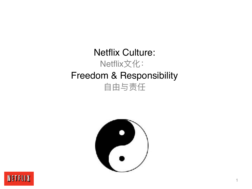



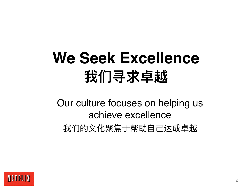# **We Seek Excellence 我们寻求卓越**

Our culture focuses on helping us achieve excellence 我们的文化聚焦于帮助自己达成卓越

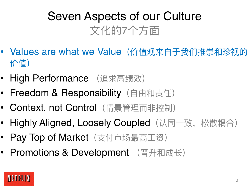# Seven Aspects of our Culture 文化的7个方面

- Values are what we Value (价值观来自于我们推崇和珍视的 价值)
- High Performance (追求高绩效)
- Freedom & Responsibility (自由和责任)
- Context, not Control (情景管理而非控制)
- Highly Aligned, Loosely Coupled (认同一致, 松散耦合)
- Pay Top of Market (支付市场最高工资)
- Promotions & Development (晋升和成长)

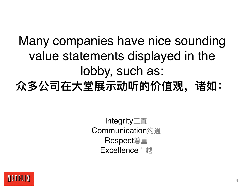# Many companies have nice sounding value statements displayed in the lobby, such as: **众多公司在⼤堂展示动听的价值观,诸如:**

Integrity正直 Communication沟通 Respect尊重 Excellence卓越

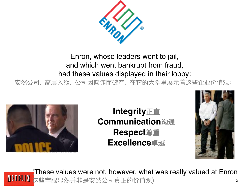

Enron, whose leaders went to jail, and which went bankrupt from fraud, had these values displayed in their lobby: 安然公司,高层入狱,公司因欺诈而破产,在它的大堂里展示着这些企业价值观:



**Integrity正直 Communication沟通 Respect尊重 Excellence卓越**



(These values were not, however, what was really valued at Enron NETFLIX 这些字眼显然并非是安然公司真正的价值观) 5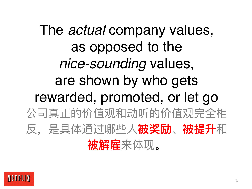The *actual* company values, as opposed to the *nice-sounding* values, are shown by who gets rewarded, promoted, or let go 公司真正的价值观和动听的价值观完全相 反,是具体通过哪些⼈**被奖励**、**被提升**和 **被解雇**来体现。

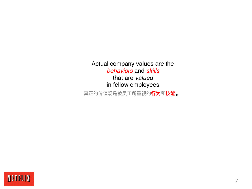Actual company values are the *behaviors* and *skills* that are *valued* in fellow employees

真正的价值观是被员⼯所重视的**⾏为**和**技能**。

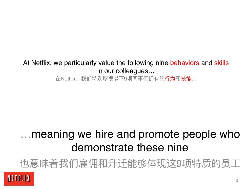#### At Netflix, we particularly value the following nine behaviors and skills in our colleagues…

在Netflix,我们特别珍视以下9项同事们拥有的行为和技能…

## …meaning we hire and promote people who demonstrate these nine

也意味着我们雇佣和升迁能够体现这9项特质的员工

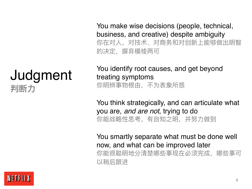## Judgment **判断力**

You make wise decisions (people, technical, business, and creative) despite ambiguity 你在对⼈,对技术、对商务和对创新上能够做出明智 的决定,摒弃模棱两可

You identify root causes, and get beyond treating symptoms 你明辨事物根由,不为表象所惑

You think strategically, and can articulate what you are, *and are not*, trying to do 你能战略性思考,有自知之明,并努力做到

You smartly separate what must be done well now, and what can be improved later 你能很聪明地分清楚哪些事现在必须完成,哪些事可 以稍后跟进

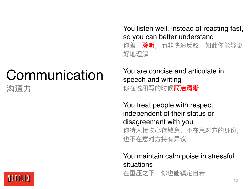# **Communication 沟通力**

You listen well, instead of reacting fast, so you can better understand

你善于**聆听**, 而非快速反驳。如此你能够更 好地理解

You are concise and articulate in speech and writing 你在说和写的时候**简洁清晰**

You treat people with respect independent of their status or disagreement with you 你待人接物心存敬意,不在意对方的身份, 也不在意对⽅持有异议

You maintain calm poise in stressful situations

在重压之下,你也能镇定⾃若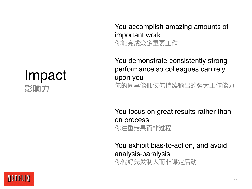## Impact **影响力**

You accomplish amazing amounts of important work 你能完成众多重要⼯作

You demonstrate consistently strong performance so colleagues can rely upon you 你的同事能仰仗你持续输出的强大工作能力

You focus on great results rather than on process 你注重结果而非过程

You exhibit bias-to-action, and avoid analysis-paralysis 你偏好先发制人而非谋定后动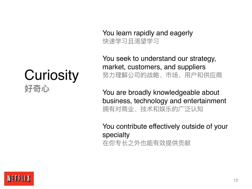**Curiosity 好奇⼼**

You learn rapidly and eagerly 快速学习且渴望学习

You seek to understand our strategy, market, customers, and suppliers 努力理解公司的战略、市场、用户和供应商

You are broadly knowledgeable about business, technology and entertainment 拥有对商业、技术和娱乐的广泛认知

You contribute effectively outside of your specialty 在你专⻓之外也能有效提供贡献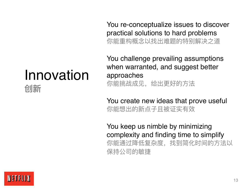# Innovation

**创新**

You re-conceptualize issues to discover practical solutions to hard problems 你能重构概念以找出难题的特别解决之道

You challenge prevailing assumptions when warranted, and suggest better approaches 你能挑战成见,给出更好的方法

You create new ideas that prove useful 你能想出的新点⼦且被证实有效

You keep us nimble by minimizing complexity and finding time to simplify 你能通过降低复杂度,找到简化时间的方法以 保持公司的敏捷

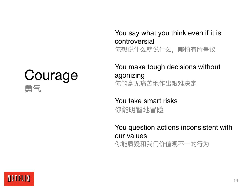## Courage **勇气**

#### You say what you think even if it is controversial 你想说什么就说什么,哪怕有所争议

#### You make tough decisions without agonizing 你能毫⽆痛苦地作出艰难决定

#### You take smart risks 你能明智地冒险

#### You question actions inconsistent with our values 你能质疑和我们价值观不一的行为

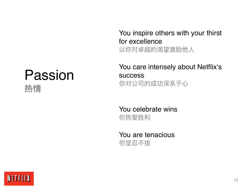# Passion

**热情**

You inspire others with your thirst for excellence 以你对卓越的渴望激励他人

You care intensely about Netflix's success 你对公司的成功深系于心

You celebrate wins 你热爱胜利

You are tenacious 你坚忍不拔

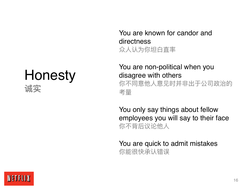## Honesty **诚实**

You are known for candor and directness 众人认为你坦白直率

You are non-political when you disagree with others 你不同意他人意见时并非出于公司政治的 考量

You only say things about fellow employees you will say to their face 你不背后议论他人

You are quick to admit mistakes 你能很快承认错误

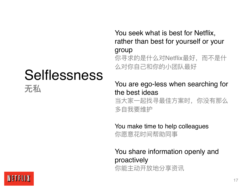# Selflessness

You seek what is best for Netflix, rather than best for yourself or your group

你寻求的是什么对Netflix最好, 而不是什 么对你⾃⼰和你的⼩团队最好

You are ego-less when searching for the best ideas 当大家一起找寻最佳方案时,你没有那么

多⾃我要维护

You make time to help colleagues 你愿意花时间帮助同事

You share information openly and proactively 你能主动开放地分享资讯



无私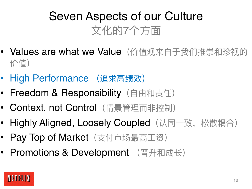# Seven Aspects of our Culture 文化的7个方面

- Values are what we Value (价值观来自于我们推崇和珍视的 价值)
- High Performance (追求高绩效)
- Freedom & Responsibility (自由和责任)
- Context, not Control (情景管理而非控制)
- Highly Aligned, Loosely Coupled (认同一致, 松散耦合)
- Pay Top of Market (支付市场最高工资)
- Promotions & Development (晋升和成长)

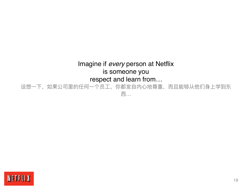#### Imagine if *every* person at Netflix is someone you respect and learn from…

设想一下,如果公司里的任何一个员工,你都发自内心地尊重,而且能够从他们身上学到东 西…

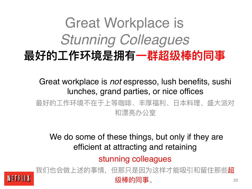# Great Workplace is *Stunning Colleagues* **最好的⼯作环境是拥有⼀群超级棒的同事**

Great workplace is *not* espresso, lush benefits, sushi lunches, grand parties, or nice offices 最好的工作环境不在于上等咖啡、丰厚福利、日本料理、盛大派对 和漂亮办公室

We do some of these things, but only if they are efficient at attracting and retaining

stunning colleagues

我们也会做上述的事情, 但那只是因为这样才能吸引和留住那些**超** NETFLIX 级棒的同事。20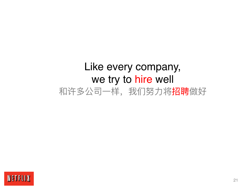## Like every company, we try to hire well 和许多公司一样,我们努力将招聘做好

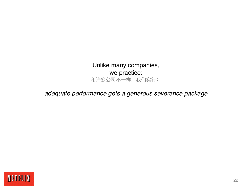Unlike many companies, we practice: 和许多公司不一样,我们实行:

#### *adequate performance gets a generous severance package*

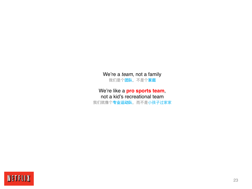We're a *team*, not a family 我们是个**团队**,不是个**家庭**

#### We're like a **pro sports team**, not a kid's recreational team

我们就像个**专业运动队**, 而不是小孩子过家家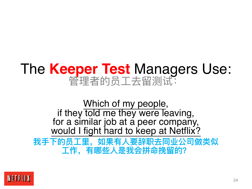# The **Keeper Test** Managers Use: 管理者的员⼯去留测试:

Which of my people, if they told me they were leaving, for a similar job at a peer company, would I fight hard to keep at Netflix?

我手下的员工里, 如果有人要辞职去同业公司做类似 **⼯作,有哪些⼈是我会拼命挽留的?**

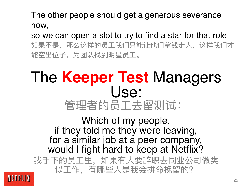The other people should get a generous severance now,

so we can open a slot to try to find a star for that role 如果不是,那么这样的员工我们只能让他们拿钱走人,这样我们才 能空出位子,为团队找到明星员工。

## The **Keeper Test** Managers Use: 管理者的员工去留测试:

Which of my people, if they told me they were leaving, for a similar job at a peer company, would I fight hard to keep at Netflix?

我手下的员工里, 如果有人要辞职去同业公司做类 似工作,有哪些人是我会拼命挽留的?

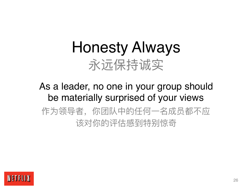# Honesty Always 永远保持诚实

## As a leader, no one in your group should be materially surprised of your views 作为领导者,你团队中的任何一名成员都不应 该对你的评估感到特别惊奇

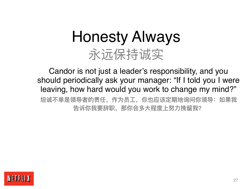# Honesty Always 永远保持诚实

Candor is not just a leader's responsibility, and you should periodically ask your manager: "If I told you I were leaving, how hard would you work to change my mind?" **坦诚不单是领导者的责任,作为员⼯,你也应该定期地询问你领导:如果我 告诉你我要辞职,那你会多⼤程度上努⼒挽留我?**

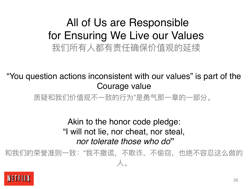## All of Us are Responsible for Ensuring We Live our Values 我们所有⼈都有责任确保价值观的延续

"You question actions inconsistent with our values" is part of the Courage value

质疑和我们价值观不一致的行为"是勇气那一章的一部分。

#### Akin to the honor code pledge: "I will not lie, nor cheat, nor steal, *nor tolerate those who do***"**

和我们的荣誉准则一致:"我不撒谎,不欺诈,不偷窃,也绝不容忍这么做的 ⼈。

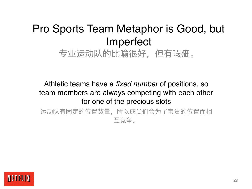## Pro Sports Team Metaphor is Good, but Imperfect 专业运动队的比喻很好,但有瑕疵。

Athletic teams have a *fixed number* of positions, so team members are always competing with each other for one of the precious slots 运动队有固定的位置数量,所以成员们会为了宝贵的位置而相

互竞争。

NETFLIX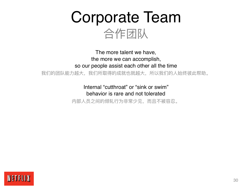Corporate Team 合作团队

The more talent we have, the more we can accomplish, so our people assist each other all the time

我们的团队能力越大,我们所取得的成就也就越大,所以我们的人始终彼此帮助。

Internal "cutthroat" or "sink or swim" behavior is rare and not tolerated

内部人员之间的倾轧行为非常少见,而且不被容忍。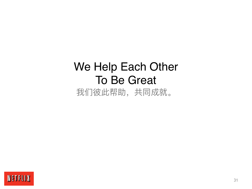## We Help Each Other To Be Great 我们彼此帮助,共同成就。

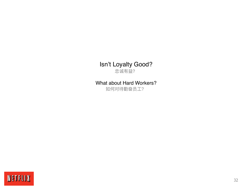#### Isn't Loyalty Good? 忠诚有益?

#### What about Hard Workers?

如何对待勤奋员工?

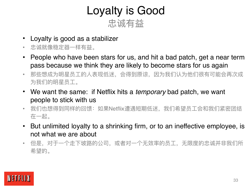## Loyalty is Good 忠诚有益

- Loyalty is good as a stabilizer
- 忠诚就像稳定器一样有益。
- People who have been stars for us, and hit a bad patch, get a near term pass because we think they are likely to become stars for us again
- 那些想成为明星员工的人表现低迷,会得到原谅,因为我们认为他们很有可能会再次成 为我们的明星员工。
- We want the same: if Netflix hits a *temporary* bad patch, we want people to stick with us
- 我们也想得到同样的回馈: 如果Netflix遭遇短期低迷, 我们希望员工会和我们紧密团结 在一起。
- But unlimited loyalty to a shrinking firm, or to an ineffective employee, is not what we are about
- 但是,对于一个走下坡路的公司,或者对一个无效率的员工,无限度的忠诚并非我们所 希望的。

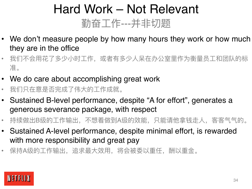# Hard Work – Not Relevant 勤奋工作---并非切题

- We don't measure people by how many hours they work or how much they are in the office
- 我们不会用花了多少小时工作,或者有多少人呆在办公室里作为衡量员工和团队的标 准。
- We do care about accomplishing great work
- 我们只在意是否完成了伟⼤的⼯作成就。
- Sustained B-level performance, despite "A for effort", generates a generous severance package, with respect
- 持续做出B级的工作输出,不想着做到A级的效能,只能请他拿钱走人,客客气气的。
- Sustained A-level performance, despite minimal effort, is rewarded with more responsibility and great pay
- 保持A级的工作输出,追求最大效用,将会被委以重任,酬以重金。

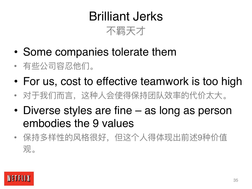# Brilliant Jerks



- Some companies tolerate them
- 有些公司容忍他们。
- For us, cost to effective teamwork is too high
- 对于我们而言,这种人会使得保持团队效率的代价太大。
- Diverse styles are fine as long as person embodies the 9 values
- 保持多样性的风格很好, 但这个人得体现出前述9种价值 观。

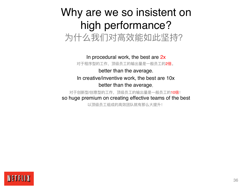#### Why are we so insistent on high performance? 为什么我们对高效能如此坚持?

In procedural work, the best are 2x 对于程序型的工作, 顶级员工的输出量是一般员工的2倍。 better than the average. In creative/inventive work, the best are 10x better than the average,

对于创新型/创意型的工作, 顶级员工的输出量是一般员工的10倍! so huge premium on creating effective teams of the best

以顶级员工组成的高效团队就有那么大提升!

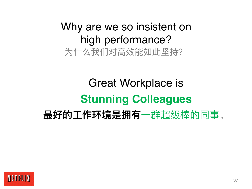### Why are we so insistent on high performance? 为什么我们对高效能如此坚持?

## Great Workplace is **Stunning Colleagues 最好的工作环境是拥有**一群超级棒的同事。

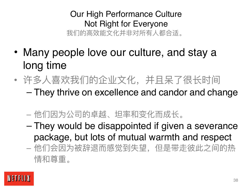#### Our High Performance Culture Not Right for Everyone 我们的高效能文化并非对所有人都合适。

- Many people love our culture, and stay a long time
- 许多人喜欢我们的企业文化, 并且呆了很长时间 – They thrive on excellence and candor and change
	- 他们因为公司的卓越、坦率和变化而成长。
	- They would be disappointed if given a severance package, but lots of mutual warmth and respect
	- 他们会因为被辞退而感觉到失望, 但是带走彼此之间的热 情和尊重。

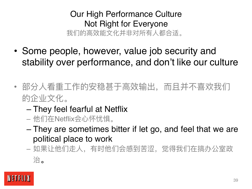#### Our High Performance Culture Not Right for Everyone 我们的高效能文化并非对所有人都合适。

- Some people, however, value job security and stability over performance, and don't like our culture
- 部分人看重工作的安稳甚于高效输出,而且并不喜欢我们 的企业文化。
	- They feel fearful at Netflix
	- 他们在Netflix会⼼怀忧惧。
	- They are sometimes bitter if let go, and feel that we are political place to work
	- 如果让他们走人, 有时他们会感到苦涩, 觉得我们在搞办公室政 治。

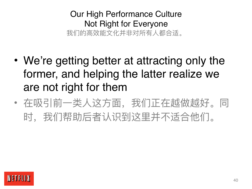Our High Performance Culture Not Right for Everyone 我们的高效能文化并非对所有人都合适。

- We're getting better at attracting only the former, and helping the latter realize we are not right for them
- 在吸引前一类人这方面, 我们正在越做越好。同 时,我们帮助后者认识到这⾥并不适合他们。

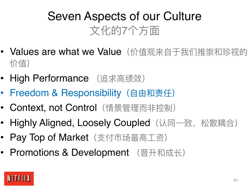## Seven Aspects of our Culture 文化的7个方面

- Values are what we Value (价值观来自于我们推崇和珍视的 价值)
- High Performance (追求高绩效)
- Freedom & Responsibility (自由和责任)
- Context, not Control (情景管理而非控制)
- Highly Aligned, Loosely Coupled (认同一致, 松散耦合)
- Pay Top of Market (支付市场最高工资)
- Promotions & Development (晋升和成长)

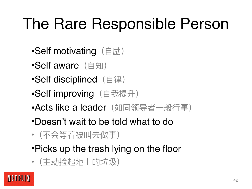## The Rare Responsible Person

- •Self motivating (自励)
- •Self aware  $($  $\oplus$  知)
- •Self disciplined (自律)
- •Self improving (自我提升)
- Acts like a leader (如同领导者一般行事)
- •Doesn't wait to be told what to do
- •(不会等着被叫去做事)
- •Picks up the trash lying on the floor
- (主动捡起地上的垃圾)

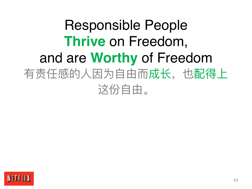## Responsible People **Thrive** on Freedom, and are **Worthy** of Freedom 有责任感的人因为自由而成长,也配得上 这份自由。

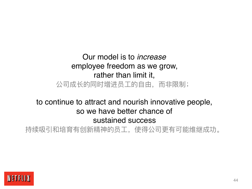#### Our model is to *increase* employee freedom as we grow, rather than limit it, 公司成长的同时增进员工的自由,而非限制;

#### to continue to attract and nourish innovative people, so we have better chance of sustained success

持续吸引和培育有创新精神的员⼯,使得公司更有可能维继成功。

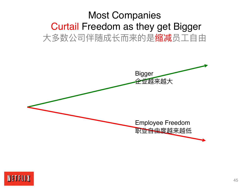#### Most Companies Curtail Freedom as they get Bigger 大多数公司伴随成长而来的是缩减员工自由



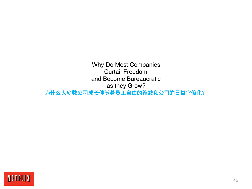Why Do Most Companies Curtail Freedom and Become Bureaucratic as they Grow? 为什么大多数公司成长伴随着员工自由的缩减和公司的日益官僚化?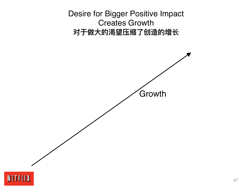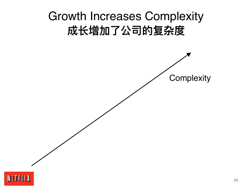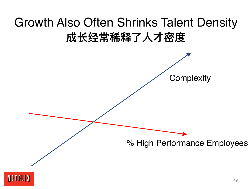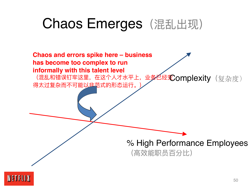## Chaos Emerges (混乱出现)



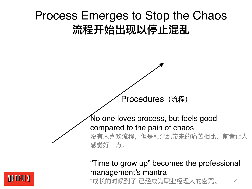



#### "Time to grow up" becomes the professional management's mantra "成长的时候到了"已经成为职业经理人的密咒。

NETFLIX

51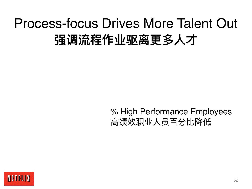## Process-focus Drives More Talent Out **强调流程作业驱离更多⼈才**

#### % High Performance Employees 高绩效职业人员百分比降低

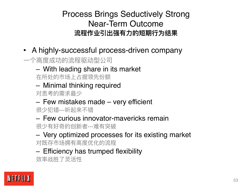Process Brings Seductively Strong Near-Term Outcome 流程作业引出强有力的短期行为结果

- A highly-successful process-driven company
- ⼀个⾼度成功的流程驱动型公司
	- With leading share in its market

在所处的市场上占据领先份额

– Minimal thinking required

对思考的需求最少

– Few mistakes made – very efficient

很少犯错---听起来不错

– Few curious innovator-mavericks remain

很少有好奇的创新者---难有突破

– Very optimized processes for its existing market 对既存市场拥有高度优化的流程

– Efficiency has trumped flexibility

效率战胜了灵活性

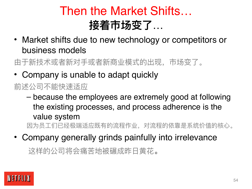### Then the Market Shifts… **接着市场变了**…

• Market shifts due to new technology or competitors or business models

由于新技术或者新对⼿或者新商业模式的出现,市场变了。

• Company is unable to adapt quickly

#### 前述公司不能快速适应

– because the employees are extremely good at following the existing processes, and process adherence is the value system

因为员工们已经极端适应既有的流程作业,对流程的依靠是系统价值的核心。

• Company generally grinds painfully into irrelevance

这样的公司将会痛苦地被碾成昨日黄花。

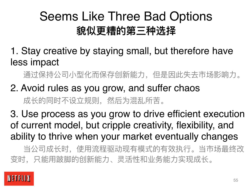## Seems Like Three Bad Options **貌似更糟的第三种选择**

1. Stay creative by staying small, but therefore have less impact

通过保持公司小型化而保存创新能力,但是因此失去市场影响力。

2. Avoid rules as you grow, and suffer chaos 成长的同时不设立规则,然后为混乱所苦。

3. Use process as you grow to drive efficient execution of current model, but cripple creativity, flexibility, and ability to thrive when your market eventually changes

当公司成长时,使用流程驱动现有模式的有效执行。当市场最终改 变时,只能用跛脚的创新能力、灵活性和业务能力实现成长。

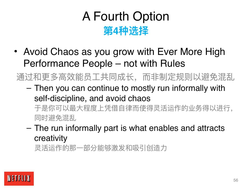### A Fourth Option **第4种选择**

• Avoid Chaos as you grow with Ever More High Performance People – not with Rules

通过和更多高效能员工共同成长,而非制定规则以避免混乱

- Then you can continue to mostly run informally with self-discipline, and avoid chaos 于是你可以最大程度上凭借自律而使得灵活运作的业务得以进行, 同时避免混乱
- The run informally part is what enables and attracts creativity

灵活运作的那一部分能够激发和吸引创造力

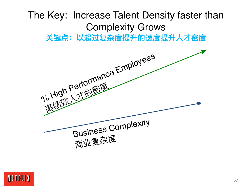# The Key: Increase Talent Density faster than Complexity Grows **关键点:以超过复杂度提升的速度提升⼈才密度** olo High Performance Employees o High Perton:<br>高绩效 才的密度



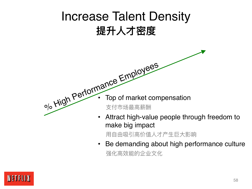

用自由吸引高价值人才产生巨大影响

• Be demanding about high performance culture 强化高效能的企业文化

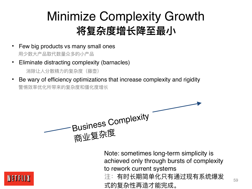## Minimize Complexity Growth 将复杂度增长降至最小

- Few big products vs many small ones 用少数大产品取代数量众多的小产品
- Eliminate distracting complexity (barnacles) 消除让人分散精力的复杂度 (藤壶)
- Be wary of efficiency optimizations that increase complexity and rigidity 警惕效率优化所带来的复杂度和僵化度增长

Business Complexity 商业复杂度

Note: sometimes long-term simplicity is achieved only through bursts of complexity to rework current systems 注:有时长期简单化只有通过现有系统爆发 式的复杂性再造才能完成。

59

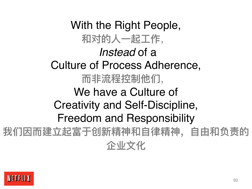With the Right People, 和对的人一起工作, *Instead* of a Culture of Process Adherence, 而非流程控制他们, We have a Culture of Creativity and Self-Discipline, Freedom and Responsibility 我们因而建立起富于创新精神和自律精神, 自由和负责的 **企业⽂化**

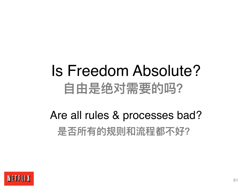## Is Freedom Absolute? **⾃由是绝对需要的吗?**

## Are all rules & processes bad? **是否所有的规则和流程都不好?**

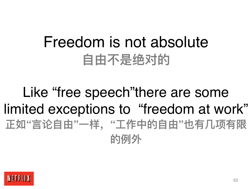## Freedom is not absolute **⾃由不是绝对的**

## Like "free speech"there are some limited exceptions to "freedom at work" **正如"⾔论⾃由"⼀样,"⼯作中的⾃由"也有⼏项有限 的例外**

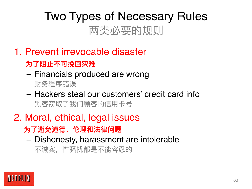## Two Types of Necessary Rules 两类必要的规则

- 1. Prevent irrevocable disaster
	- **为了阻⽌不可挽回灾难**
	- Financials produced are wrong

财务程序错误

- Hackers steal our customers' credit card info 黑客窃取了我们顾客的信用卡号
- 2. Moral, ethical, legal issues

 **为了避免道德、伦理和法律问题**

– Dishonesty, harassment are intolerable

不诚实,性骚扰都是不能容忍的

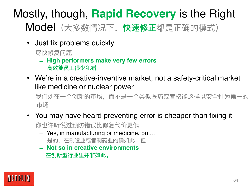### Mostly, though, **Rapid Recovery** is the Right Model(⼤多数情况下,**快速修正**都是正确的模式)

• Just fix problems quickly

尽快修复问题

- **High performers make very few errors ⾼效能员⼯很少犯错**
- We're in a creative-inventive market, not a safety-critical market like medicine or nuclear power

我们处在一个创新的市场,而不是一个类似医药或者核能这样以安全性为第一的 市场

- You may have heard preventing error is cheaper than fixing it 你也许听说过预防错误比修复代价更低
	- Yes, in manufacturing or medicine, but… 是的,在制造业或者制药业的确如此,但
	- **Not so in creative environments 在创新型⾏业⾥并⾮如此。**

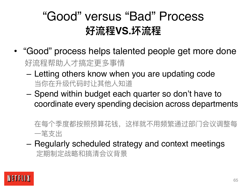### "Good" versus "Bad" Process **好流程VS.坏流程**

- "Good" process helps talented people get more done 好流程帮助⼈才搞定更多事情
	- Letting others know when you are updating code 当你在升级代码时让其他⼈知道
	- Spend within budget each quarter so don't have to coordinate every spending decision across departments
		- 在每个季度都按照预算花钱,这样就不用频繁通过部门会议调整每 一笔支出
	- Regularly scheduled strategy and context meetings 定期制定战略和搞清会议背景

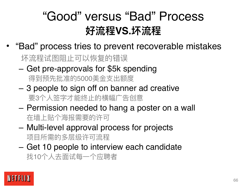### "Good" versus "Bad" Process **好流程VS.坏流程**

• "Bad" process tries to prevent recoverable mistakes

坏流程试图阻止可以恢复的错误

- Get pre-approvals for \$5k spending 得到预先批准的5000美金支出额度
- 3 people to sign off on banner ad creative 要3个人签字才能终止的横幅广告创意
- Permission needed to hang a poster on a wall 在墙上贴个海报需要的许可
- Multi-level approval process for projects 项⽬所需的多层级许可流程
- Get 10 people to interview each candidate 找10个⼈去⾯试每⼀个应聘者

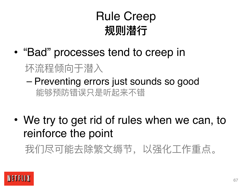## Rule Creep **规则潜⾏**

- "Bad" processes tend to creep in
	- 坏流程倾向于潜入
	- Preventing errors just sounds so good 能够预防错误只是听起来不错
- We try to get rid of rules when we can, to reinforce the point

我们尽可能去除繁⽂缛节,以强化⼯作重点。

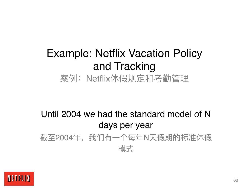### Example: Netflix Vacation Policy and Tracking 案例: Netflix休假规定和考勤管理

#### Until 2004 we had the standard model of N days per year 截至2004年, 我们有一个每年N天假期的标准休假 模式

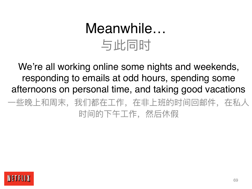## Meanwhile… 与此同时

We're all working online some nights and weekends, responding to emails at odd hours, spending some afternoons on personal time, and taking good vacations 一些晚上和周末,我们都在工作,在非上班的时间回邮件,在私人 时间的下午⼯作,然后休假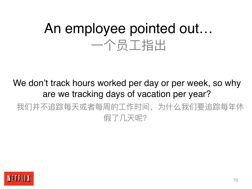## An employee pointed out… 一个员工指出

We don't track hours worked per day or per week, so why are we tracking days of vacation per year? 我们并不追踪每天或者每周的工作时间,为什么我们要追踪每年休 假了几天呢?

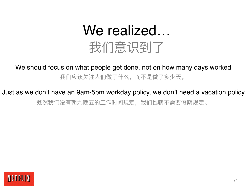## We realized… 我们意识到了

#### We should focus on what people get done, not on how many days worked 我们应该关注入们做了什么,而不是做了多少天。

#### Just as we don't have an 9am-5pm workday policy, we don't need a vacation policy 既然我们没有朝九晚五的⼯作时间规定,我们也就不需要假期规定。

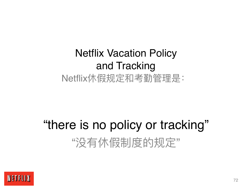### Netflix Vacation Policy and Tracking Netflix休假规定和考勤管理是:

## "there is no policy or tracking" "没有休假制度的规定"

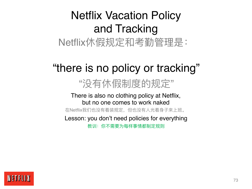# Netflix Vacation Policy and Tracking

Netflix休假规定和考勤管理是:

### "there is no policy or tracking"

### "没有休假制度的规定"

#### There is also no clothing policy at Netflix, but no one comes to work naked

在Netflix我们也没有着装规定,但也没有人光着身子来上班。

Lesson: you don't need policies for everything

教训:你不需要为每样事情都制定规则

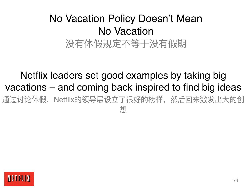### No Vacation Policy Doesn't Mean No Vacation 没有休假规定不等于没有假期

#### Netflix leaders set good examples by taking big vacations – and coming back inspired to find big ideas 通过讨论休假,Netfilx的领导层设立了很好的榜样,然后回来激发出大的创 想

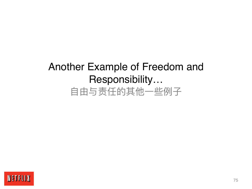### Another Example of Freedom and Responsibility… 自由与责任的其他一些例子

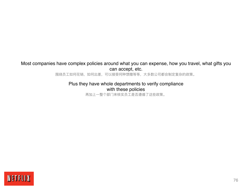#### Most companies have complex policies around what you can expense, how you travel, what gifts you can accept, etc.

围绕员工如何花销,如何出差,可以接受何种馈赠等等,大多数公司都会制定复杂的政策。

Plus they have whole departments to verify compliance with these policies

再加上一整个部门来核实员工是否遵循了这些政策。

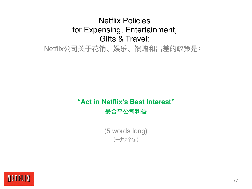#### Netflix Policies for Expensing, Entertainment, Gifts & Travel:

Netflix公司关于花销、娱乐、馈赠和出差的政策是:

#### **"Act in Netflix's Best Interest" 最合乎公司利益**

(5 words long) (⼀共7个字)

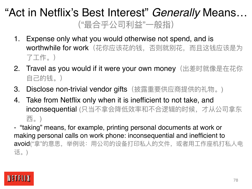### "Act in Netflix's Best Interest" *Generally* Means… ("最合乎公司利益"⼀般指)

- 1. Expense only what you would otherwise not spend, and is worthwhile for work (花你应该花的钱, 否则就别花, 而且这钱应该是为 了工作。)
- 2. Travel as you would if it were your own money(出差时就像是在花你 自己的钱。)
- 3. Disclose non-trivial vendor gifts (披露重要供应商提供的礼物。)
- 4. Take from Netflix only when it is inefficient to not take, and inconsequential (只当不拿会降低效率和不合逻辑的时候,才从公司拿东 ⻄。)
- "taking" means, for example, printing personal documents at work or making personal calls on work phone: inconsequential and inefficient to avoid("拿"的意思,举例说:用公司的设备打印私人的文件,或者用工作座机打私人电 话。)

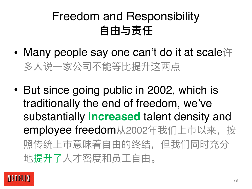# Freedom and Responsibility **⾃由与责任**

- Many people say one can't do it at scale许 多人说一家公司不能等比提升这两点
- But since going public in 2002, which is traditionally the end of freedom, we've substantially **increased** talent density and employee freedom从2002年我们上市以来, 按 照传统上市意味着自由的终结,但我们同时充分 地提升了人才密度和员工自由。

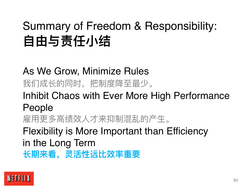# Summary of Freedom & Responsibility: **自由与责任小结**

As We Grow, Minimize Rules 我们成长的同时,把制度降至最少。 Inhibit Chaos with Ever More High Performance People 雇用更多高绩效人才来抑制混乱的产生。 Flexibility is More Important than Efficiency in the Long Term **⻓期来看,灵活性远⽐效率重要**

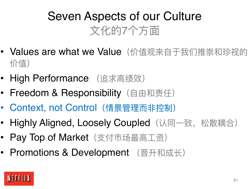# Seven Aspects of our Culture 文化的7个方面

- Values are what we Value (价值观来自于我们推崇和珍视的 价值)
- High Performance (追求高绩效)
- Freedom & Responsibility (自由和责任)
- Context, not Control (情景管理而非控制)
- Highly Aligned, Loosely Coupled (认同一致, 松散耦合)
- Pay Top of Market (支付市场最高工资)
- Promotions & Development (晋升和成长)

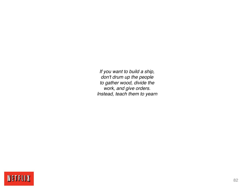*If you want to build a ship, don't drum up the people to gather wood, divide the work, and give orders. Instead, teach them to yearn*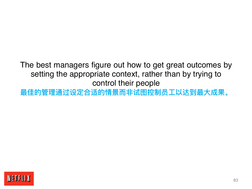The best managers figure out how to get great outcomes by setting the appropriate context, rather than by trying to control their people

**最佳的管理通过设定合适的情景⽽⾮试图控制员⼯以达到最⼤成果。**

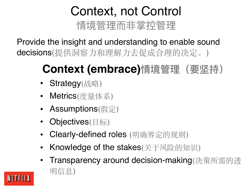# Context, not Control 情境管理而非掌控管理

Provide the insight and understanding to enable sound decisions(提供洞察力和理解力去促成合理的决定。)

# **Context (embrace)情境管理(要坚持)**

- **Strategy**(战略)
- Metrics(度量体系)
- Assumptions(假定)
- **Objectives**(目标)
- Clearly-defined roles (明确界定的规则)
- Knowledge of the stakes(关于风险的知识)
- Transparency around decision-making(决策所需的透 明信息)

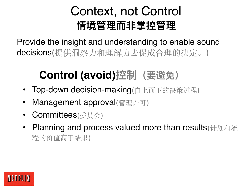## Context, not Control **情境管理⽽⾮掌控管理**

Provide the insight and understanding to enable sound decisions(提供洞察力和理解力去促成合理的决定。)

# **Control (avoid)控制(要避免)**

- Top-down decision-making(自上而下的决策过程)
- Management approval(管理许可)
- Committees(委员会)
- Planning and process valued more than results (计划和流 程的价值高于结果)

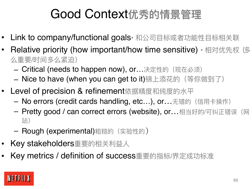# Good Context**优秀的情景管理**

- Link to company/functional goals• 和公司目标或者功能性目标相关联
- Relative priority (how important/how time sensitive) 相对优先权(多 么重要/时间多么紧迫)
	- $-$  Critical (needs to happen now), or...决定性的(现在必须)
	- Nice to have (when you can get to it)锦上添花的 (等你做到了)
- Level of precision & refinement依据精度和纯度的水平
	- No errors (credit cards handling, etc...), or...无错的 (信用卡操作)
	- Pretty good / can correct errors (website), or...相当好的/可纠正错误(网 站)
	- Rough (experimental)粗糙的 (实验性的)
- Key stakeholders重要的相关利益人
- Key metrics / definition of success重要的指标/界定成功标准

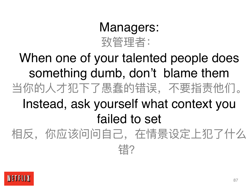# Managers: 致管理者:

When one of your talented people does something dumb, don't blame them 当你的⼈才犯下了愚蠢的错误,不要指责他们。 Instead, ask yourself what context you failed to set 相反,你应该问问自己,在情景设定上犯了什么 错?

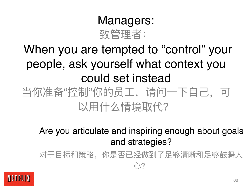### Managers: 致管理者:

# When you are tempted to "control" your people, ask yourself what context you could set instead 当你准备"控制"你的员工, 请问一下自己, 可 以用什么情境取代?

Are you articulate and inspiring enough about goals and strategies?

对于目标和策略,你是否已经做到了足够清晰和足够鼓舞人  $J\rightarrow$ ?

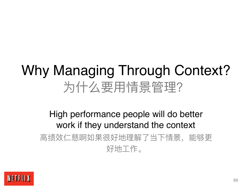# Why Managing Through Context? 为什么要用情景管理?

#### High performance people will do better work if they understand the context 高绩效仁慈啊如果很好地理解了当下情景,能够更 好地⼯作。

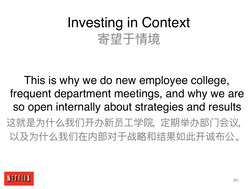# Investing in Context 寄望于情境

This is why we do new employee college, frequent department meetings, and why we are so open internally about strategies and results 这就是为什么我们开办新员工学院, 定期举办部门会议, 以及为什么我们在内部对于战略和结果如此开诚布公。

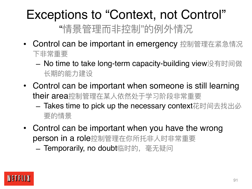### Exceptions to "Context, not Control" "情景管理而非控制"的例外情况

- Control can be important in emergency 控制管理在紧急情况 下非常重要
	- No time to take long-term capacity-building view没有时间做 长期的能力建设
- Control can be important when someone is still learning their area控制管理在某人依然处于学习阶段非常重要
	- Takes time to pick up the necessary context花时间去找出必 要的情景
- Control can be important when you have the wrong person in a role控制管理在你所托非人时非常重要

- Temporarily, no doubt临时的, 毫无疑问

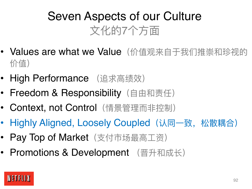# Seven Aspects of our Culture 文化的7个方面

- Values are what we Value (价值观来自于我们推崇和珍视的 价值)
- High Performance (追求高绩效)
- Freedom & Responsibility (自由和责任)
- Context, not Control (情景管理而非控制)
- Highly Aligned, Loosely Coupled (认同一致, 松散耦合)
- Pay Top of Market (支付市场最高工资)
- Promotions & Development (晋升和成长)

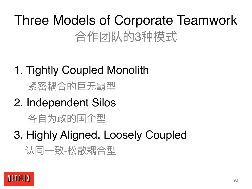# Three Models of Corporate Teamwork 合作团队的3种模式

1. Tightly Coupled Monolith

紧密耦合的巨无霸型

2. Independent Silos

各自为政的国企型

3. Highly Aligned, Loosely Coupled

认同一致-松散耦合型

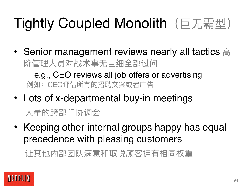# Tightly Coupled Monolith (巨无霸型)

- Senior management reviews nearly all tactics  $\equiv$ 阶管理⼈员对战术事⽆巨细全部过问 – e.g., CEO reviews all job offers or advertising 例如: CEO评估所有的招聘文案或者广告
- Lots of x-departmental buy-in meetings 大量的跨部门协调会
- Keeping other internal groups happy has equal precedence with pleasing customers

让其他内部团队满意和取悦顾客拥有相同权重

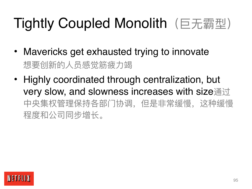# Tightly Coupled Monolith (巨无霸型)

- Mavericks get exhausted trying to innovate 想要创新的人员感觉筋疲力竭
- Highly coordinated through centralization, but very slow, and slowness increases with size通过 中央集权管理保持各部门协调,但是非常缓慢,这种缓慢 程度和公司同步增⻓。

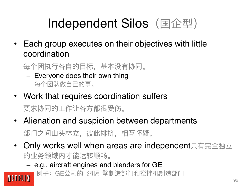# Independent Silos (国企型)

- Each group executes on their objectives with little coordination
	- 每个团执行各自的目标,基本没有协同。
		- Everyone does their own thing 每个团队做自己的事。
- Work that requires coordination suffers 要求协同的⼯作让各⽅都很受伤。
- Alienation and suspicion between departments 部门之间山头林立,彼此批挤,相互怀疑。
- Only works well when areas are independent只有完全独立 的业务领域内才能运转顺畅。
	- e.g., aircraft engines and blenders for GE

NETFLIX 例子: GE公司的飞机引擎制造部门和搅拌机制造部门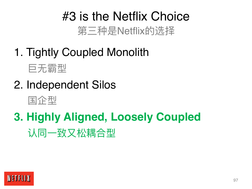# #3 is the Netflix Choice 第三种是Netflix的选择

- 1. Tightly Coupled Monolith
	- 巨无霸型
- 2. Independent Silos



# **3. Highly Aligned, Loosely Coupled** 认同一致又松耦合型

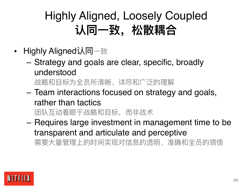# Highly Aligned, Loosely Coupled 认同一致, 松散耦合

- Highly Aligned认同一致
	- Strategy and goals are clear, specific, broadly understood 战略和目标为全员所清晰、详尽和广泛的理解
	- Team interactions focused on strategy and goals, rather than tactics 团队互动着眼于战略和目标,而非战术
	- Requires large investment in management time to be transparent and articulate and perceptive

需要大量管理上的时间实现对信息的透明、准确和全员的领悟

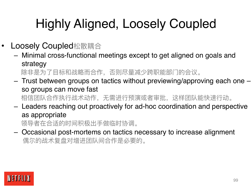# Highly Aligned, Loosely Coupled

- Loosely Coupled松散耦合
	- Minimal cross-functional meetings except to get aligned on goals and strategy 除非是为了目标和战略而合作,否则尽量减少跨职能部门的会议。
	- Trust between groups on tactics without previewing/approving each one so groups can move fast 相信团队合作执行战术动作,无需进行预演或者审批,这样团队能快速行动。
	- Leaders reaching out proactively for ad-hoc coordination and perspective as appropriate

领导者在合适的时间积极出手做临时协调。

– Occasional post-mortems on tactics necessary to increase alignment 偶尔的战术复盘对增进团队间合作是必要的。

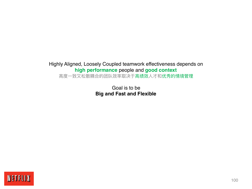#### Highly Aligned, Loosely Coupled teamwork effectiveness depends on **high performance** people and **good context**

高度一致又松散耦合的团队效率取决于高绩效人才和优秀的情境管理

Goal is to be **Big and Fast and Flexible**

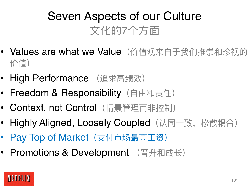# Seven Aspects of our Culture 文化的7个方面

- Values are what we Value (价值观来自于我们推崇和珍视的 价值)
- High Performance (追求高绩效)
- Freedom & Responsibility (自由和责任)
- Context, not Control (情景管理而非控制)
- Highly Aligned, Loosely Coupled (认同一致, 松散耦合)
- Pay Top of Market (支付市场最高工资)
- Promotions & Development (晋升和成长)

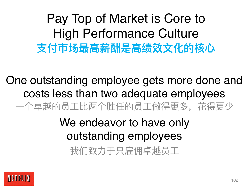Pay Top of Market is Core to High Performance Culture **支付市场最高薪酬是高绩效文化的核心** 

One outstanding employee gets more done and costs less than two adequate employees 一个卓越的员工比两个胜任的员工做得更多,花得更少

> We endeavor to have only outstanding employees 我们致力于只雇佣卓越员工

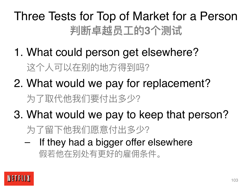# Three Tests for Top of Market for a Person **判断卓越员⼯的3个测试**

- 1. What could person get elsewhere? 这个人可以在别的地方得到吗?
- 2. What would we pay for replacement? 为了取代他我们要付出多少?
- 3. What would we pay to keep that person? 为了留下他我们愿意付出多少?
	- If they had a bigger offer elsewhere 假若他在别处有更好的雇佣条件。

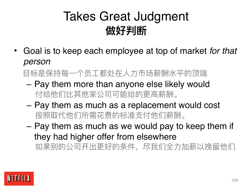# Takes Great Judgment **做好判断**

• Goal is to keep each employee at top of market *for that person* 

目标是保持每一个员工都处在人力市场薪酬水平的顶端

- Pay them more than anyone else likely would 付给他们比其他家公司可能给的更高薪酬。
- Pay them as much as a replacement would cost 按照取代他们所需花费的标准⽀付他们薪酬。
- Pay them as much as we would pay to keep them if they had higher offer from elsewhere 如果别的公司开出更好的条件,尽我们全力加薪以挽留他们

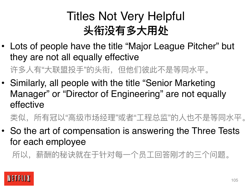# Titles Not Very Helpful 头衔没有多大用处

• Lots of people have the title "Major League Pitcher" but they are not all equally effective

许多人有"大联盟投手"的头衔,但他们彼此不是等同水平。

• Similarly, all people with the title "Senior Marketing Manager" or "Director of Engineering" are not equally effective

类似,所有冠以"高级市场经理"或者"工程总监"的人也不是等同水平。

• So the art of compensation is answering the Three Tests for each employee

所以,薪酬的秘诀就在于针对每一个员工回答刚才的三个问题。

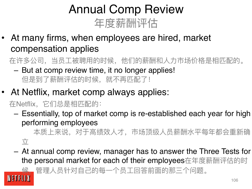# Annual Comp Review 年度薪酬评估

At many firms, when employees are hired, market compensation applies

在许多公司,当员工被聘用的时候,他们的薪酬和人力市场价格是相匹配的。

- But at comp review time, it no longer applies! 但是到了薪酬评估的时候,就不再匹配了!
- At Netflix, market comp always applies:

在Netflix,它们总是相匹配的:

– Essentially, top of market comp is re-established each year for high performing employees

本质上来说,对于高绩效人才,市场顶级人员薪酬水平每年都会重新确  $\overline{V}$ 

– At annual comp review, manager has to answer the Three Tests for the personal market for each of their employees在年度薪酬评估的时

候,管理⼈员针对⾃⼰的每⼀个员⼯回答前⾯的那三个问题。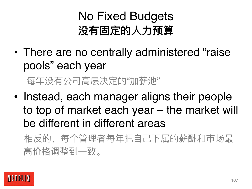# No Fixed Budgets **没有固定的⼈⼒预算**

- There are no centrally administered "raise pools" each year 每年没有公司高层决定的"加薪池"
- Instead, each manager aligns their people to top of market each year – the market will be different in different areas 相反的,每个管理者每年把自己下属的薪酬和市场最

高价格调整到一致。

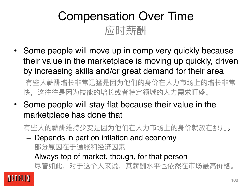# Compensation Over Time 应时薪酬

• Some people will move up in comp very quickly because their value in the marketplace is moving up quickly, driven by increasing skills and/or great demand for their area

有些人薪酬增长非常迅猛是因为他们的身价在人力市场上的增长非常 快,这往往是因为技能的增长或者特定领域的人力需求旺盛。

- Some people will stay flat because their value in the marketplace has done that
	- 有些人的薪酬维持少变是因为他们在人力市场上的身价就放在那儿。
	- Depends in part on inflation and economy 部分原因在于通胀和经济因素
	- Always top of market, though, for that person 尽管如此,对于这个人来说,其薪酬水平也依然在市场最高价格。

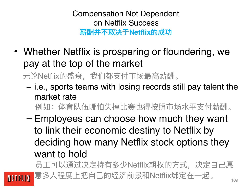Compensation Not Dependent on Netflix Success **薪酬并不取决于Netflix的成功**

• Whether Netflix is prospering or floundering, we pay at the top of the market

无论Netflix的盛衰, 我们都支付市场最高薪酬。

– i.e., sports teams with losing records still pay talent the market rate

例如:体育队伍哪怕失掉比赛也得按照市场水平支付薪酬。

– Employees can choose how much they want to link their economic destiny to Netflix by deciding how many Netflix stock options they want to hold

员工可以通过决定持有多少Netflix期权的方式,决定自己愿 意多⼤程度上把⾃⼰的经济前景和Netflix绑定在⼀起。

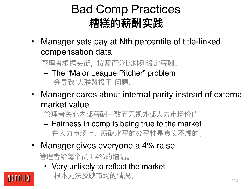#### Bad Comp Practices **糟糕的薪酬实践**

• Manager sets pay at Nth percentile of title-linked compensation data

管理者根据头衔,按照百分⽐排列设定薪酬。

- The "Major League Pitcher" problem 会导致"⼤联盟投⼿"问题。
- Manager cares about internal parity instead of external market value

管理者关心内部薪酬一致而无视外部人力市场价值

- Fairness in comp is being true to the market 在⼈⼒市场上,薪酬⽔平的公平性是真实不虚的。
- Manager gives everyone a 4% raise

管理者给每个员工4%的增幅。

• Very unlikely to reflect the market

根本无法反映市场的情况。

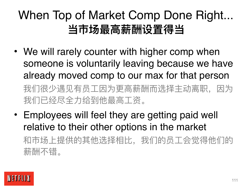### When Top of Market Comp Done Right... **当市场最⾼薪酬设置得当**

- We will rarely counter with higher comp when someone is voluntarily leaving because we have already moved comp to our max for that person 我们很少遇见有员工因为更高薪酬而选择主动离职,因为 我们已经尽全力给到他最高工资。
- Employees will feel they are getting paid well relative to their other options in the market 和市场上提供的其他选择相⽐,我们的员⼯会觉得他们的 薪酬不错。

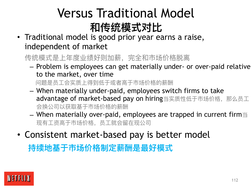### Versus Traditional Model **和传统模式对⽐**

• Traditional model is good prior year earns a raise, independent of market

传统模式是上年度业绩好则加薪,完全和市场价格脱离

– Problem is employees can get materially under- or over-paid relative to the market, over time

问题是员工会实质上得到低于或者高于市场价格的薪酬

- When materially under-paid, employees switch firms to take advantage of market-based pay on hiring当实质性低于市场价格, 那么员工 会换公司以获取基于市场价格的薪酬
- $-$  When materially over-paid, employees are trapped in current firm $\equiv$ 现有工资高于市场价格,员工就会留在现公司
- Consistent market-based pay is better model

**持续地基于市场价格制定薪酬是最好模式**

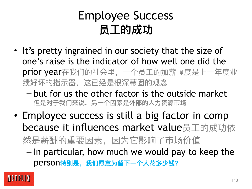#### Employee Success **员工的成功**

- It's pretty ingrained in our society that the size of one's raise is the indicator of how well one did the prior year在我们的社会里, 一个员工的加薪幅度是上一年度业 绩好坏的指示器,这已经是根深蒂固的观念
	- but for us the other factor is the outside market  **但是对于我们来说,另⼀个因素是外部的⼈⼒资源市场**
- Employee success is still a big factor in comp because it influences market value员工的成功依 然是薪酬的重要因素,因为它影响了市场价值
	- In particular, how much we would pay to keep the person**特别是,我们愿意为留下⼀个⼈花多少钱?**

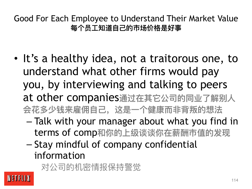Good For Each Employee to Understand Their Market Value 每个员工知道自己的市场价格是好**事** 

- It's a healthy idea, not a traitorous one, to understand what other firms would pay you, by interviewing and talking to peers at other companies**通过在其它公司的同业了解别⼈ 会花多少钱来雇佣⾃⼰,这是⼀个健康⽽⾮背叛的想法**
	- Talk with your manager about what you find in terms of comp**和你的上级谈谈你在薪酬市值的发现**
	- Stay mindful of company confidential information

对公司的机密情报保持警觉

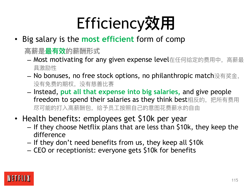### Efficiency**效⽤**

- Big salary is the **most efficient** form of comp
	- **⾼薪是最有效的薪酬形式**
	- Most motivating for any given expense level在任何给定的费用中, 高薪最 具激励性
	- No bonuses, no free stock options, no philanthropic match没有奖⾦, 没有免费的期权,没有慈善比赛
	- Instead, **put all that expense into big salaries,** and give people freedom to spend their salaries as they think best相反的, 把所有费用 尽可能的打入高薪酬包,给予员工按照自己的意图花费薪水的自由
- Health benefits: employees get \$10k per year
	- If they choose Netflix plans that are less than \$10k, they keep the difference
	- If they don't need benefits from us, they keep all \$10k
	- CEO or receptionist: everyone gets \$10k for benefits

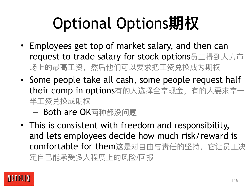# Optional Options**期权**

- Employees get top of market salary, and then can request to trade salary for stock options员工得到人力市 场上的最⾼⼯资,然后他们可以要求把⼯资兑换成为期权
- Some people take all cash, some people request half their comp in options有的人选择全拿现金, 有的人要求拿一 半⼯资兑换成期权
	- Both are OK两种都没问题
- This is consistent with freedom and responsibility, and lets employees decide how much risk/reward is comfortable for them这是对自由与责任的坚持, 它让员工决 定自己能承受多大程度上的风险/回报

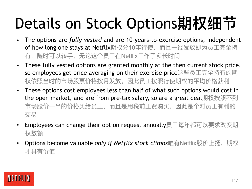### Details on Stock Options**期权细节**

- The options are *fully vested* and are 10-years-to-exercise options, independent of how long one stays at Netflix期权分10年行使, 而且一经发放即为员工完全持 有, 随时可以转手, 无论这个员工在Netflix工作了多长时间
- These fully vested options are granted monthly at the then current stock price, so employees get price averaging on their exercise price这些员⼯完全持有的期 权依照当时的市场股票价格按月发放,因此员工按照行使期权的平均价格获利
- These options cost employees less than half of what such options would cost in the open market, and are from pre-tax salary, so are a great deal期权按照不到 市场股价一半的价格买给员工, 而且是用税前工资购买, 因此是个对员工有利的 交易
- Employees can change their option request annually员工每年都可以要求改变期 权数额
- Options become valuable *only if Netflix stock climbs*唯有Netflix股价上扬,期权 才具有价值

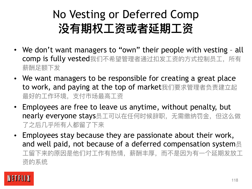#### No Vesting or Deferred Comp **没有期权⼯资或者延期⼯资**

- We don't want managers to "own" their people with vesting all comp is fully vested我们不希望管理者通过扣发工资的方式控制员工,所有 薪酬足额下发
- We want managers to be responsible for creating a great place to work, and paying at the top of market我们要求管理者负责建立起 最好的工作环境,支付市场最高工资
- Employees are free to leave us anytime, without penalty, but nearly everyone stays员工可以在任何时候辞职,无需缴纳罚金,但这么做 了之后几乎所有人都留了下来
- Employees stay because they are passionate about their work, and well paid, not because of a deferred compensation system员 工留下来的原因是他们对工作有热情,薪酬丰厚,而不是因为有一个延期发放工 资的系统

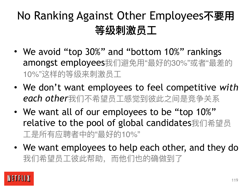#### No Ranking Against Other Employees**不要⽤ 等级刺激员⼯**

- We avoid "top 30%" and "bottom 10%" rankings amongst employees我们避免用"最好的30%"或者"最差的 10%"这样的等级来刺激员工
- We don't want employees to feel competitive *with each other*我们不希望员⼯感觉到彼此之间是竞争关系
- We want all of our employees to be "top 10%" relative to the pool of global candidates我们希望员 工是所有应聘者中的"最好的10%"
- We want employees to help each other, and they do 我们希望员工彼此帮助,而他们也的确做到了

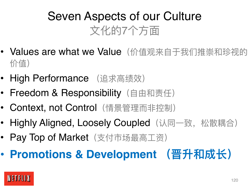#### Seven Aspects of our Culture 文化的7个方面

- Values are what we Value (价值观来自于我们推崇和珍视的 价值)
- High Performance (追求高绩效)
- Freedom & Responsibility (自由和责任)
- Context, not Control (情景管理而非控制)
- Highly Aligned, Loosely Coupled (认同一致, 松散耦合)
- Pay Top of Market (支付市场最高工资)
- **Promotions & Development (晋升和成⻓)**

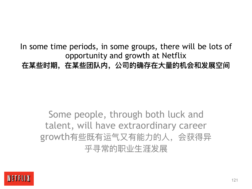In some time periods, in some groups, there will be lots of opportunity and growth at Netflix **在某些时期,在某些团队内,公司的确存在⼤量的机会和发展空间**

Some people, through both luck and talent, will have extraordinary career growth有些既有运气又有能力的人, 会获得异 平寻常的职业生涯发展

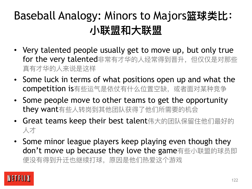#### Baseball Analogy: Minors to Majors**篮球类⽐: ⼩联盟和⼤联盟**

- Very talented people usually get to move up, but only true for the very talented非常有才华的人经常得到晋升,但仅仅是对那些 真有才华的⼈来说是这样
- Some luck in terms of what positions open up and what the competition is有些运气是依仗有什么位置空缺, 或者面对某种竞争
- Some people move to other teams to get the opportunity they want有些人转岗到其他团队获得了他们所需要的机会
- Great teams keep their best talent伟大的团队保留住他们最好的 ⼈才
- Some minor league players keep playing even though they don't move up because they love the game有些小联盟的球员即 便没有得到升迁也继续打球,原因是他们热爱这个游戏

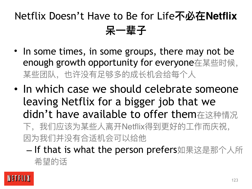#### Netflix Doesn't Have to Be for Life**不必在Netflix 呆⼀辈⼦**

- In some times, in some groups, there may not be enough growth opportunity for everyone在某些时候, 某些团队,也许没有足够多的成长机会给每个人
- In which case we should celebrate someone leaving Netflix for a bigger job that we didn't have available to offer them在这种情况

下,我们应该为某些人离开Netflix得到更好的工作而庆祝, 因为我们并没有合适机会可以给他

- If that is what the person prefers如果这是那个人所 希望的话

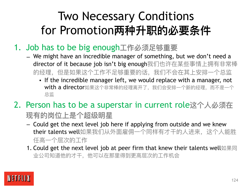#### Two Necessary Conditions for Promotion**两种升职的必要条件**

- 1. Job has to be big enough**⼯作必须⾜够重要**
	- We might have an incredible manager of something, but we don't need a director of it because job isn't big enough我们也许在某些事情上拥有非常棒 的经理,但是如果这个工作不足够重要的话,我们不会在其上安排一个总监
		- If the incredible manager left, we would replace with a manager, not with a director如果这个非常棒的经理离开了,我们会安排一个新的经理,而不是一个 总监
- 2. Person has to be a superstar in current role**这个⼈必须在 现有的岗位上是个超级明星**
	- Could get the next level job here if applying from outside and we knew their talents well如果我们从外面雇佣一个同样有才干的人进来,这个人能胜 任高一个层次的工作
	- 1. Could get the next level job at peer firm that knew their talents well如果同 业公司知道他的才干,他可以在那里得到更高层次的工作机会

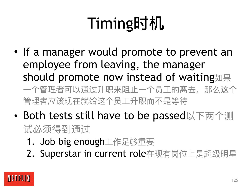# Timing**时机**

- If a manager would promote to prevent an employee from leaving, the manager should promote now instead of waiting如果 一个管理者可以通过升职来阻止一个员工的离去,那么这个 管理者应该现在就给这个员工升职而不是等待
- Both tests still have to be passed以下两个测 试必须得到通过
	- 1. Job big enough工作足够重要
	- 2. Superstar in current role在现有岗位上是超级明星

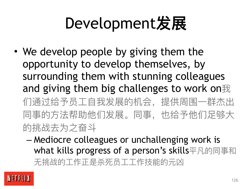### Development**发展**

- We develop people by giving them the opportunity to develop themselves, by surrounding them with stunning colleagues and giving them big challenges to work on我 们通过给予员工自我发展的机会,提供周围一群杰出 同事的方法帮助他们发展。同事,也给予他们足够大 的挑战去为之奋斗
	- Mediocre colleagues or unchallenging work is what kills progress of a person's skills平凡的同事和 无挑战的工作正是杀死员工工作技能的元凶

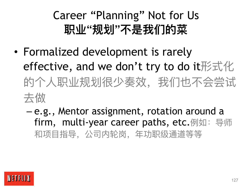### Career "Planning" Not for Us **职业"规划"不是我们的菜**

- Formalized development is rarely effective, and we don't try to do it形式化 的个人职业规划很少奏效,我们也不会尝试 去做
	- e.g., Mentor assignment, rotation around a firm, multi-year career paths, etc.例如:导师 和项⽬指导,公司内轮岗,年功职级通道等等

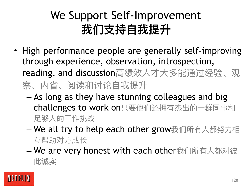#### We Support Self-Improvement 我们支持自我提升

- High performance people are generally self-improving through experience, observation, introspection, reading, and discussion高绩效人才大多能通过经验、观 察、内省、阅读和讨论自我提升
	- As long as they have stunning colleagues and big challenges to work on只要他们还拥有杰出的一群同事和 ⾜够⼤的⼯作挑战
	- We all try to help each other grow我们所有人都努力相 互帮助对方成长
	- We are very honest with each other我们所有⼈都对彼 此诚实

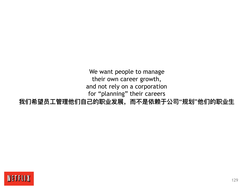We want people to manage their own career growth, and not rely on a corporation for "planning" their careers **我们希望员⼯管理他们⾃⼰的职业发展,⽽不是依赖于公司"规划"他们的职业⽣**

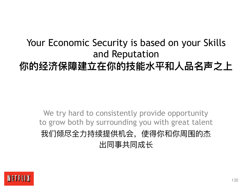#### Your Economic Security is based on your Skills and Reputation 你的经济保障建立在你的技能水平和人品名声之上

We try hard to consistently provide opportunity to grow both by surrounding you with great talent 我们倾尽全力持续提供机会,使得你和你周围的杰 出同事共同成⻓

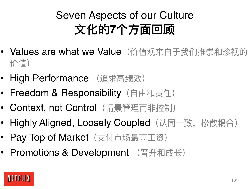### Seven Aspects of our Culture **⽂化的7个⽅⾯回顾**

- Values are what we Value (价值观来自于我们推崇和珍视的 价值)
- High Performance (追求高绩效)
- Freedom & Responsibility (自由和责任)
- Context, not Control (情景管理而非控制)
- Highly Aligned, Loosely Coupled (认同一致, 松散耦合)
- Pay Top of Market (支付市场最高工资)
- Promotions & Development (晋升和成长)